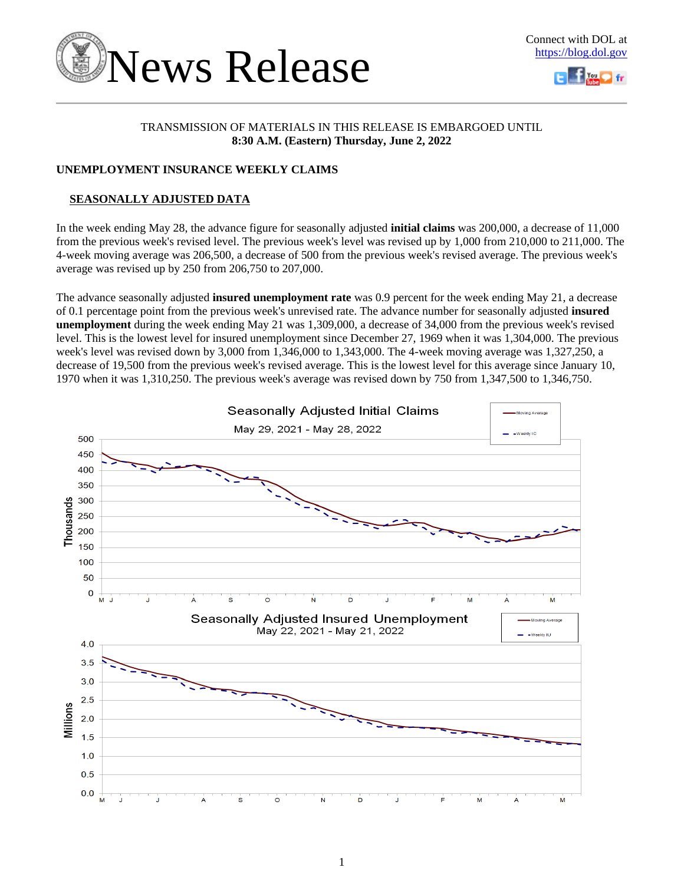



# TRANSMISSION OF MATERIALS IN THIS RELEASE IS EMBARGOED UNTIL **8:30 A.M. (Eastern) Thursday, June 2, 2022**

# **UNEMPLOYMENT INSURANCE WEEKLY CLAIMS**

# **SEASONALLY ADJUSTED DATA**

In the week ending May 28, the advance figure for seasonally adjusted **initial claims** was 200,000, a decrease of 11,000 from the previous week's revised level. The previous week's level was revised up by 1,000 from 210,000 to 211,000. The 4-week moving average was 206,500, a decrease of 500 from the previous week's revised average. The previous week's average was revised up by 250 from 206,750 to 207,000.

The advance seasonally adjusted **insured unemployment rate** was 0.9 percent for the week ending May 21, a decrease of 0.1 percentage point from the previous week's unrevised rate. The advance number for seasonally adjusted **insured unemployment** during the week ending May 21 was 1,309,000, a decrease of 34,000 from the previous week's revised level. This is the lowest level for insured unemployment since December 27, 1969 when it was 1,304,000. The previous week's level was revised down by 3,000 from 1,346,000 to 1,343,000. The 4-week moving average was 1,327,250, a decrease of 19,500 from the previous week's revised average. This is the lowest level for this average since January 10, 1970 when it was 1,310,250. The previous week's average was revised down by 750 from 1,347,500 to 1,346,750.

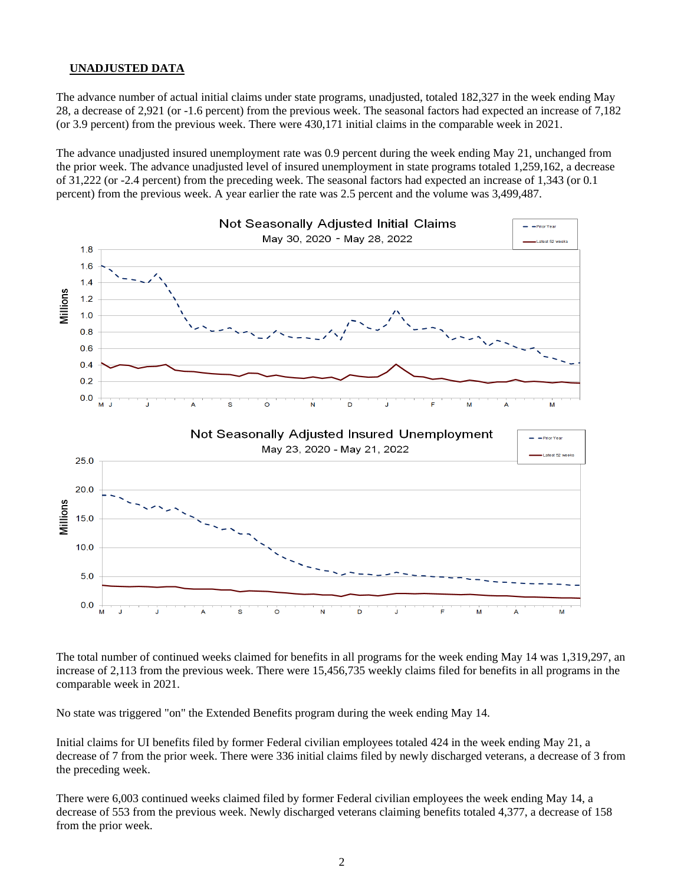### **UNADJUSTED DATA**

The advance number of actual initial claims under state programs, unadjusted, totaled 182,327 in the week ending May 28, a decrease of 2,921 (or -1.6 percent) from the previous week. The seasonal factors had expected an increase of 7,182 (or 3.9 percent) from the previous week. There were 430,171 initial claims in the comparable week in 2021.

The advance unadjusted insured unemployment rate was 0.9 percent during the week ending May 21, unchanged from the prior week. The advance unadjusted level of insured unemployment in state programs totaled 1,259,162, a decrease of 31,222 (or -2.4 percent) from the preceding week. The seasonal factors had expected an increase of 1,343 (or 0.1 percent) from the previous week. A year earlier the rate was 2.5 percent and the volume was 3,499,487.



The total number of continued weeks claimed for benefits in all programs for the week ending May 14 was 1,319,297, an increase of 2,113 from the previous week. There were 15,456,735 weekly claims filed for benefits in all programs in the comparable week in 2021.

No state was triggered "on" the Extended Benefits program during the week ending May 14.

Initial claims for UI benefits filed by former Federal civilian employees totaled 424 in the week ending May 21, a decrease of 7 from the prior week. There were 336 initial claims filed by newly discharged veterans, a decrease of 3 from the preceding week.

There were 6,003 continued weeks claimed filed by former Federal civilian employees the week ending May 14, a decrease of 553 from the previous week. Newly discharged veterans claiming benefits totaled 4,377, a decrease of 158 from the prior week.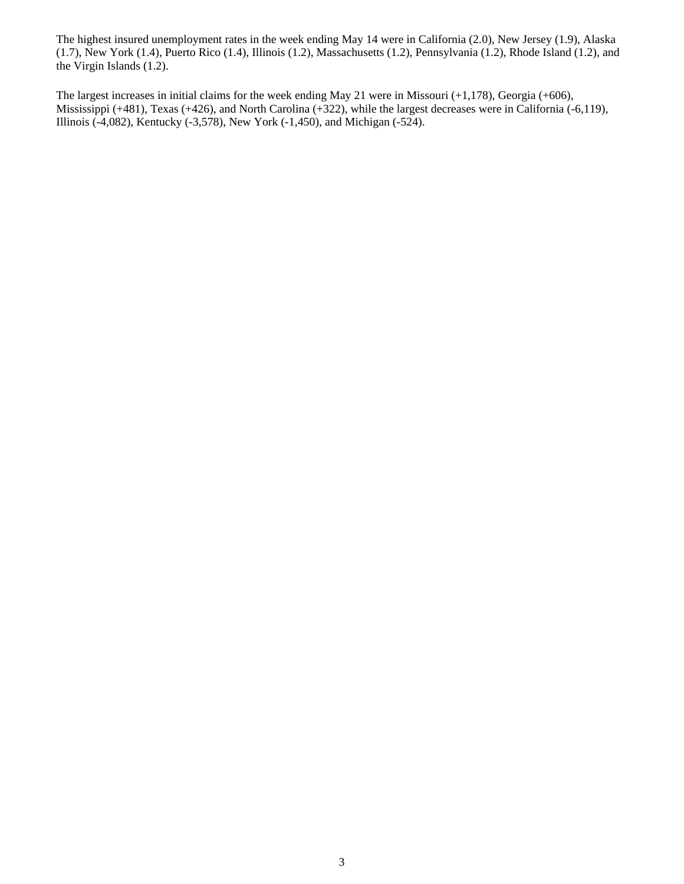The highest insured unemployment rates in the week ending May 14 were in California (2.0), New Jersey (1.9), Alaska (1.7), New York (1.4), Puerto Rico (1.4), Illinois (1.2), Massachusetts (1.2), Pennsylvania (1.2), Rhode Island (1.2), and the Virgin Islands (1.2).

The largest increases in initial claims for the week ending May 21 were in Missouri (+1,178), Georgia (+606), Mississippi (+481), Texas (+426), and North Carolina (+322), while the largest decreases were in California (-6,119), Illinois (-4,082), Kentucky (-3,578), New York (-1,450), and Michigan (-524).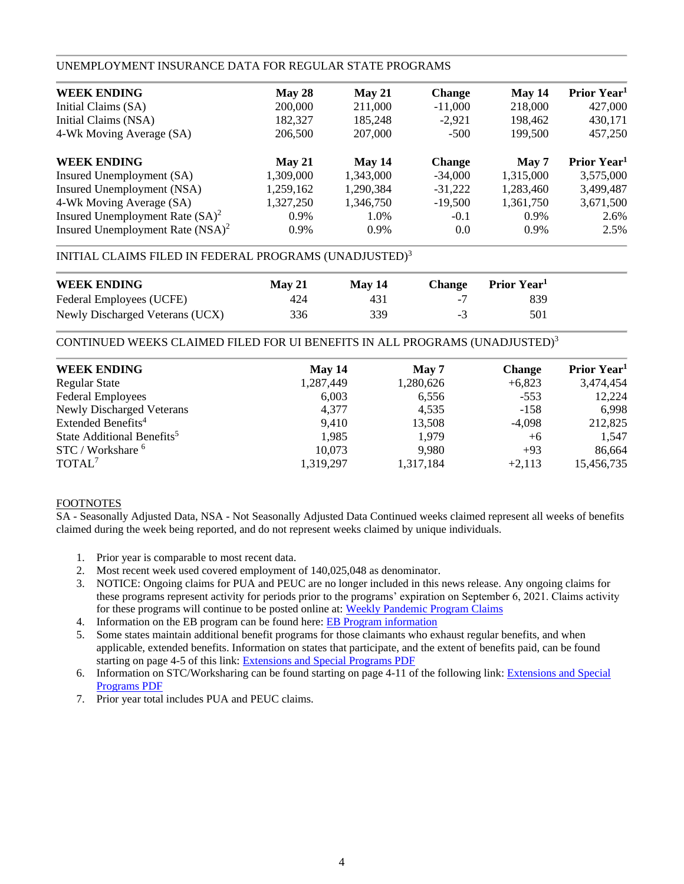## UNEMPLOYMENT INSURANCE DATA FOR REGULAR STATE PROGRAMS

| <b>WEEK ENDING</b>                  | May 28    | May 21    | <b>Change</b> | May 14    | Prior Year <sup>1</sup> |
|-------------------------------------|-----------|-----------|---------------|-----------|-------------------------|
| Initial Claims (SA)                 | 200,000   | 211,000   | $-11,000$     | 218,000   | 427,000                 |
| Initial Claims (NSA)                | 182,327   | 185,248   | $-2,921$      | 198.462   | 430,171                 |
| 4-Wk Moving Average (SA)            | 206,500   | 207,000   | $-500$        | 199,500   | 457,250                 |
| <b>WEEK ENDING</b>                  | May 21    | May 14    | <b>Change</b> | May 7     | Prior Year <sup>1</sup> |
| Insured Unemployment (SA)           | 1,309,000 | 1,343,000 | $-34,000$     | 1,315,000 | 3,575,000               |
| Insured Unemployment (NSA)          | 1,259,162 | 1,290,384 | $-31,222$     | 1,283,460 | 3,499,487               |
| 4-Wk Moving Average (SA)            | 1,327,250 | 1,346,750 | $-19,500$     | 1,361,750 | 3,671,500               |
| Insured Unemployment Rate $(SA)^2$  | 0.9%      | 1.0%      | $-0.1$        | $0.9\%$   | 2.6%                    |
| Insured Unemployment Rate $(NSA)^2$ | $0.9\%$   | $0.9\%$   | 0.0           | $0.9\%$   | 2.5%                    |
|                                     |           |           |               |           |                         |

# INITIAL CLAIMS FILED IN FEDERAL PROGRAMS (UNADJUSTED)<sup>3</sup>

| <b>WEEK ENDING</b>              | $M$ av 21 | <b>May 14</b> | Change Prior Year <sup>1</sup> |  |
|---------------------------------|-----------|---------------|--------------------------------|--|
| Federal Employees (UCFE)        | 424       | 431           | 839                            |  |
| Newly Discharged Veterans (UCX) | 336       | 339           | 501                            |  |

CONTINUED WEEKS CLAIMED FILED FOR UI BENEFITS IN ALL PROGRAMS (UNADJUSTED)<sup>3</sup>

| <b>WEEK ENDING</b>                     | May $14$  | May 7     | <b>Change</b> | Prior Year <sup>1</sup> |
|----------------------------------------|-----------|-----------|---------------|-------------------------|
| <b>Regular State</b>                   | 1,287,449 | 1,280,626 | $+6,823$      | 3,474,454               |
| <b>Federal Employees</b>               | 6,003     | 6,556     | $-553$        | 12,224                  |
| <b>Newly Discharged Veterans</b>       | 4,377     | 4,535     | $-158$        | 6,998                   |
| Extended Benefits <sup>4</sup>         | 9.410     | 13,508    | $-4,098$      | 212,825                 |
| State Additional Benefits <sup>5</sup> | 1.985     | 1,979     | $+6$          | 1,547                   |
| STC / Workshare <sup>6</sup>           | 10,073    | 9.980     | $+93$         | 86,664                  |
| TOTAL <sup>7</sup>                     | 1,319,297 | 1,317,184 | $+2,113$      | 15,456,735              |
|                                        |           |           |               |                         |

### FOOTNOTES

SA - Seasonally Adjusted Data, NSA - Not Seasonally Adjusted Data Continued weeks claimed represent all weeks of benefits claimed during the week being reported, and do not represent weeks claimed by unique individuals.

- 1. Prior year is comparable to most recent data.
- 2. Most recent week used covered employment of 140,025,048 as denominator.
- 3. NOTICE: Ongoing claims for PUA and PEUC are no longer included in this news release. Any ongoing claims for these programs represent activity for periods prior to the programs' expiration on September 6, 2021. Claims activity for these programs will continue to be posted online at[: Weekly Pandemic Program Claims](https://oui.doleta.gov/unemploy/docs/weekly_pandemic_claims.xlsx)
- 4. Information on the EB program can be found here: [EB Program information](https://oui.doleta.gov/unemploy/extenben.asp)
- 5. Some states maintain additional benefit programs for those claimants who exhaust regular benefits, and when applicable, extended benefits. Information on states that participate, and the extent of benefits paid, can be found starting on page 4-5 of this link: [Extensions and Special Programs PDF](https://oui.doleta.gov/unemploy/pdf/uilawcompar/2021/special.pdf#page=5)
- 6. Information on STC/Worksharing can be found starting on page 4-11 of the following link: [Extensions and Special](https://oui.doleta.gov/unemploy/pdf/uilawcompar/2021/special.pdf#page=11)  [Programs PDF](https://oui.doleta.gov/unemploy/pdf/uilawcompar/2021/special.pdf#page=11)
- 7. Prior year total includes PUA and PEUC claims.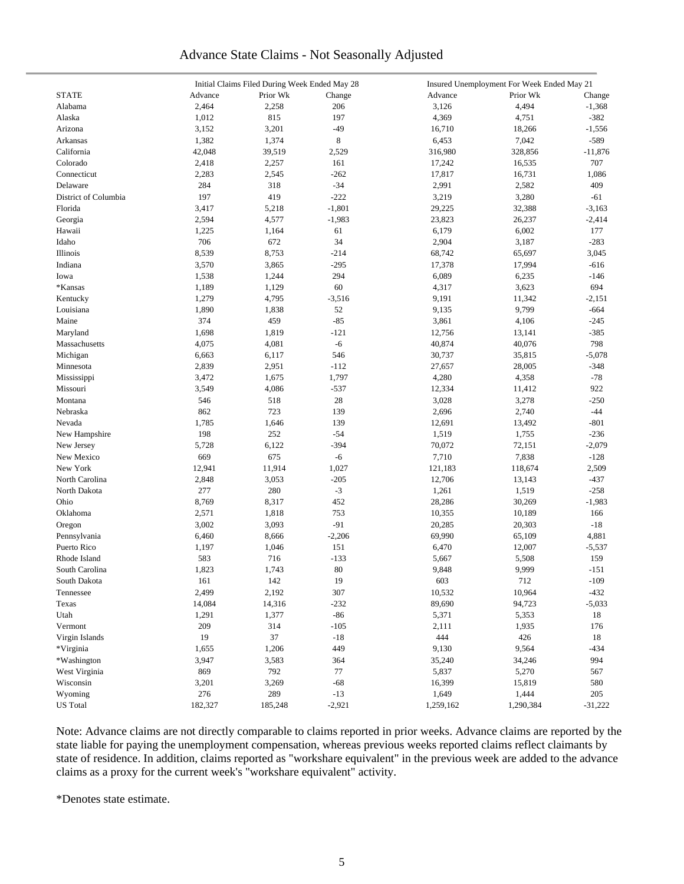# Advance State Claims - Not Seasonally Adjusted

|                      | Initial Claims Filed During Week Ended May 28 |          |          | Insured Unemployment For Week Ended May 21 |           |           |  |  |
|----------------------|-----------------------------------------------|----------|----------|--------------------------------------------|-----------|-----------|--|--|
| <b>STATE</b>         | Advance                                       | Prior Wk | Change   | Advance                                    | Prior Wk  | Change    |  |  |
| Alabama              | 2,464                                         | 2,258    | 206      | 3,126                                      | 4,494     | $-1,368$  |  |  |
| Alaska               | 1,012                                         | 815      | 197      | 4,369                                      | 4,751     | $-382$    |  |  |
| Arizona              | 3,152                                         | 3,201    | $-49$    | 16,710                                     | 18,266    | $-1,556$  |  |  |
| Arkansas             | 1,382                                         | 1,374    | 8        | 6,453                                      | 7,042     | $-589$    |  |  |
| California           | 42,048                                        | 39,519   | 2,529    | 316,980                                    | 328,856   | $-11,876$ |  |  |
| Colorado             | 2,418                                         | 2,257    | 161      | 17,242                                     | 16,535    | 707       |  |  |
| Connecticut          | 2,283                                         | 2,545    | $-262$   | 17,817                                     | 16,731    | 1,086     |  |  |
| Delaware             | 284                                           | 318      | $-34$    | 2,991                                      | 2,582     | 409       |  |  |
| District of Columbia | 197                                           | 419      | $-222$   | 3,219                                      | 3,280     | $-61$     |  |  |
| Florida              | 3,417                                         | 5,218    | $-1,801$ | 29,225                                     | 32,388    | $-3,163$  |  |  |
| Georgia              | 2,594                                         | 4,577    | $-1,983$ | 23,823                                     | 26,237    | $-2,414$  |  |  |
| Hawaii               | 1,225                                         | 1,164    | 61       | 6,179                                      | 6,002     | 177       |  |  |
| Idaho                | 706                                           | 672      | 34       | 2,904                                      | 3,187     | $-283$    |  |  |
| Illinois             | 8,539                                         | 8,753    | $-214$   | 68,742                                     | 65,697    | 3,045     |  |  |
| Indiana              | 3,570                                         | 3,865    | $-295$   | 17,378                                     | 17,994    | $-616$    |  |  |
| Iowa                 | 1,538                                         | 1,244    | 294      | 6,089                                      | 6,235     | $-146$    |  |  |
| *Kansas              | 1,189                                         | 1,129    | 60       | 4,317                                      | 3,623     | 694       |  |  |
|                      |                                               |          |          |                                            |           |           |  |  |
| Kentucky             | 1,279                                         | 4,795    | $-3,516$ | 9,191                                      | 11,342    | $-2,151$  |  |  |
| Louisiana            | 1,890                                         | 1,838    | 52       | 9,135                                      | 9,799     | $-664$    |  |  |
| Maine                | 374                                           | 459      | $-85$    | 3,861                                      | 4,106     | $-245$    |  |  |
| Maryland             | 1,698                                         | 1,819    | $-121$   | 12,756                                     | 13,141    | $-385$    |  |  |
| Massachusetts        | 4,075                                         | 4,081    | $-6$     | 40,874                                     | 40,076    | 798       |  |  |
| Michigan             | 6,663                                         | 6,117    | 546      | 30,737                                     | 35,815    | $-5,078$  |  |  |
| Minnesota            | 2,839                                         | 2,951    | $-112$   | 27,657                                     | 28,005    | $-348$    |  |  |
| Mississippi          | 3,472                                         | 1,675    | 1,797    | 4,280                                      | 4,358     | $-78$     |  |  |
| Missouri             | 3,549                                         | 4,086    | $-537$   | 12,334                                     | 11,412    | 922       |  |  |
| Montana              | 546                                           | 518      | 28       | 3,028                                      | 3,278     | $-250$    |  |  |
| Nebraska             | 862                                           | 723      | 139      | 2,696                                      | 2,740     | $-44$     |  |  |
| Nevada               | 1,785                                         | 1,646    | 139      | 12,691                                     | 13,492    | $-801$    |  |  |
| New Hampshire        | 198                                           | 252      | $-54$    | 1,519                                      | 1,755     | $-236$    |  |  |
| New Jersey           | 5,728                                         | 6,122    | $-394$   | 70,072                                     | 72,151    | $-2,079$  |  |  |
| New Mexico           | 669                                           | 675      | $-6$     | 7,710                                      | 7,838     | $-128$    |  |  |
| New York             | 12,941                                        | 11,914   | 1,027    | 121,183                                    | 118,674   | 2,509     |  |  |
| North Carolina       | 2,848                                         | 3,053    | $-205$   | 12,706                                     | 13,143    | $-437$    |  |  |
| North Dakota         | 277                                           | 280      | $-3$     | 1,261                                      | 1,519     | $-258$    |  |  |
| Ohio                 | 8,769                                         | 8,317    | 452      | 28,286                                     | 30,269    | $-1,983$  |  |  |
| Oklahoma             | 2,571                                         | 1,818    | 753      | 10,355                                     | 10,189    | 166       |  |  |
| Oregon               | 3,002                                         | 3,093    | $-91$    | 20,285                                     | 20,303    | $-18$     |  |  |
| Pennsylvania         | 6,460                                         | 8,666    | $-2,206$ | 69,990                                     | 65,109    | 4,881     |  |  |
| Puerto Rico          | 1,197                                         | 1,046    | 151      | 6,470                                      | 12,007    | $-5,537$  |  |  |
| Rhode Island         | 583                                           | 716      | $-133$   | 5,667                                      | 5,508     | 159       |  |  |
| South Carolina       | 1,823                                         | 1,743    | 80       | 9,848                                      | 9,999     | $-151$    |  |  |
| South Dakota         | 161                                           | 142      | 19       | 603                                        | 712       | $-109$    |  |  |
| Tennessee            | 2,499                                         | 2,192    | 307      | 10,532                                     | 10,964    | $-432$    |  |  |
| Texas                | 14,084                                        | 14,316   | $-232$   | 89,690                                     | 94,723    | $-5,033$  |  |  |
| Utah                 | 1,291                                         | 1,377    | $-86$    | 5,371                                      | 5,353     | 18        |  |  |
| Vermont              | 209                                           | 314      | $-105$   | 2,111                                      | 1,935     | 176       |  |  |
|                      |                                               |          |          |                                            |           |           |  |  |
| Virgin Islands       | 19                                            | 37       | $-18$    | 444                                        | 426       | 18        |  |  |
| *Virginia            | 1,655                                         | 1,206    | 449      | 9,130                                      | 9,564     | $-434$    |  |  |
| *Washington          | 3,947                                         | 3,583    | 364      | 35,240                                     | 34,246    | 994       |  |  |
| West Virginia        | 869                                           | 792      | $77\,$   | 5,837                                      | 5,270     | 567       |  |  |
| Wisconsin            | 3,201                                         | 3,269    | $-68$    | 16,399                                     | 15,819    | 580       |  |  |
| Wyoming              | 276                                           | 289      | $-13$    | 1,649                                      | 1,444     | 205       |  |  |
| <b>US</b> Total      | 182,327                                       | 185,248  | $-2,921$ | 1,259,162                                  | 1,290,384 | $-31,222$ |  |  |

Note: Advance claims are not directly comparable to claims reported in prior weeks. Advance claims are reported by the state liable for paying the unemployment compensation, whereas previous weeks reported claims reflect claimants by state of residence. In addition, claims reported as "workshare equivalent" in the previous week are added to the advance claims as a proxy for the current week's "workshare equivalent" activity.

\*Denotes state estimate.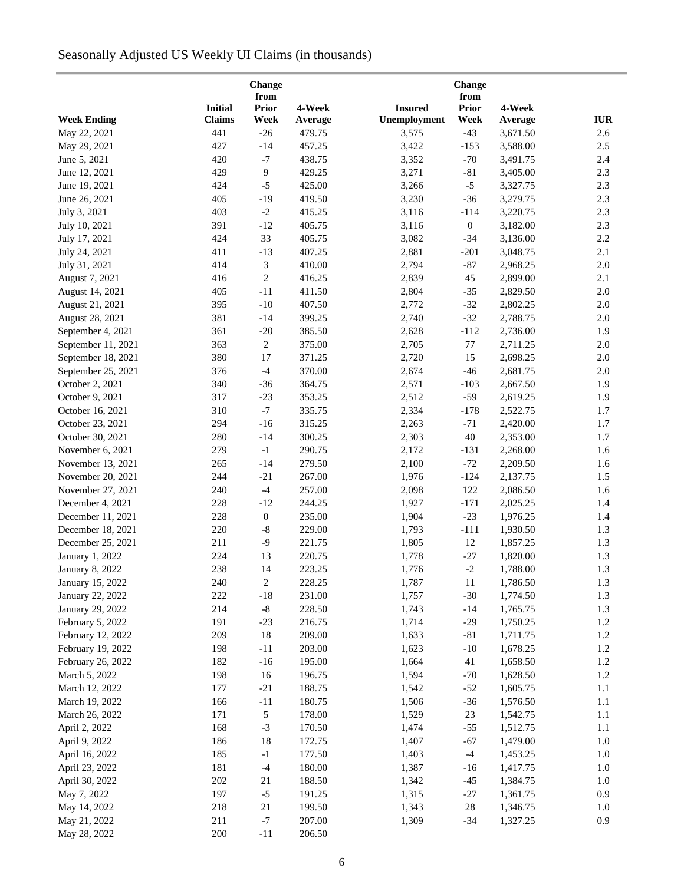# Seasonally Adjusted US Weekly UI Claims (in thousands)

|                        |                | from                    |         |                | from             |          |            |
|------------------------|----------------|-------------------------|---------|----------------|------------------|----------|------------|
|                        | <b>Initial</b> | <b>Prior</b>            | 4-Week  | <b>Insured</b> | Prior            | 4-Week   |            |
| <b>Week Ending</b>     | <b>Claims</b>  | Week<br>$-26$           | Average | Unemployment   | Week             | Average  | <b>IUR</b> |
| May 22, 2021           | 441            |                         | 479.75  | 3,575          | $-43$            | 3,671.50 | 2.6        |
| May 29, 2021           | 427            | $-14$                   | 457.25  | 3,422          | $-153$           | 3,588.00 | 2.5        |
| June 5, 2021           | 420            | $^{\rm -7}$             | 438.75  | 3,352          | $-70$            | 3,491.75 | 2.4        |
| June 12, 2021          | 429            | 9                       | 429.25  | 3,271          | $-81$            | 3,405.00 | 2.3        |
| June 19, 2021          | 424            | $-5$                    | 425.00  | 3,266          | $-5$             | 3,327.75 | 2.3        |
| June 26, 2021          | 405            | $-19$                   | 419.50  | 3,230          | $-36$            | 3,279.75 | 2.3        |
| July 3, 2021           | 403            | $\textnormal{-}2$       | 415.25  | 3,116          | $-114$           | 3,220.75 | 2.3        |
| July 10, 2021          | 391            | $-12$                   | 405.75  | 3,116          | $\boldsymbol{0}$ | 3,182.00 | 2.3        |
| July 17, 2021          | 424            | 33                      | 405.75  | 3,082          | $-34$            | 3,136.00 | $2.2\,$    |
| July 24, 2021          | 411            | $-13$                   | 407.25  | 2,881          | $-201$           | 3,048.75 | 2.1        |
| July 31, 2021          | 414            | 3                       | 410.00  | 2,794          | $-87$            | 2,968.25 | 2.0        |
| August 7, 2021         | 416            | $\sqrt{2}$              | 416.25  | 2,839          | 45               | 2,899.00 | 2.1        |
| August 14, 2021        | 405            | $-11$                   | 411.50  | 2,804          | $-35$            | 2,829.50 | 2.0        |
| August 21, 2021        | 395            | $-10$                   | 407.50  | 2,772          | $-32$            | 2,802.25 | 2.0        |
| August 28, 2021        | 381            | $-14$                   | 399.25  | 2,740          | $-32$            | 2,788.75 | 2.0        |
| September 4, 2021      | 361            | $-20$                   | 385.50  | 2,628          | $-112$           | 2,736.00 | 1.9        |
| September 11, 2021     | 363            | $\overline{c}$          | 375.00  | 2,705          | 77               | 2,711.25 | 2.0        |
| September 18, 2021     | 380            | 17                      | 371.25  | 2,720          | 15               | 2,698.25 | 2.0        |
| September 25, 2021     | 376            | $-4$                    | 370.00  | 2,674          | $-46$            | 2,681.75 | $2.0\,$    |
| October 2, 2021        | 340            | $-36$                   | 364.75  | 2,571          | $-103$           | 2,667.50 | 1.9        |
| October 9, 2021        | 317            | $-23$                   | 353.25  | 2,512          | $-59$            | 2,619.25 | 1.9        |
| October 16, 2021       | 310            | $\mathbf{-7}$           | 335.75  | 2,334          | $-178$           | 2,522.75 | 1.7        |
| October 23, 2021       | 294            | $-16$                   | 315.25  | 2,263          | $-71$            | 2,420.00 | 1.7        |
| October 30, 2021       | 280            | $-14$                   | 300.25  | 2,303          | 40               | 2,353.00 | 1.7        |
| November 6, 2021       | 279            | $^{\rm -1}$             | 290.75  | 2,172          | $-131$           | 2,268.00 | 1.6        |
| November 13, 2021      | 265            | $-14$                   | 279.50  | 2,100          | $-72$            | 2,209.50 | 1.6        |
| November 20, 2021      | 244            | $-21$                   | 267.00  | 1,976          | $-124$           | 2,137.75 | 1.5        |
| November 27, 2021      | 240            | $-4$                    | 257.00  | 2,098          | 122              | 2,086.50 | 1.6        |
| December 4, 2021       | 228            | $-12$                   | 244.25  | 1,927          | $-171$           | 2,025.25 | 1.4        |
| December 11, 2021      | 228            | $\boldsymbol{0}$        | 235.00  | 1,904          | $-23$            | 1,976.25 | 1.4        |
| December 18, 2021      | 220            | $\text{-}8$             | 229.00  | 1,793          | $-111$           | 1,930.50 | 1.3        |
| December 25, 2021      | 211            | $-9$                    | 221.75  | 1,805          | 12               | 1,857.25 | 1.3        |
| January 1, 2022        | 224            | 13                      | 220.75  | 1,778          | $-27$            | 1,820.00 | 1.3        |
| <b>January 8, 2022</b> | 238            | 14                      | 223.25  | 1,776          | $-2$             | 1,788.00 | 1.3        |
| January 15, 2022       | 240            | $\overline{\mathbf{c}}$ | 228.25  | 1,787          | 11               | 1,786.50 | 1.3        |
| January 22, 2022       | 222            | $-18$                   | 231.00  | 1,757          | $-30$            | 1,774.50 | 1.3        |
| January 29, 2022       | 214            | $\text{-}8$             | 228.50  | 1,743          | $-14$            | 1,765.75 | 1.3        |
| February 5, 2022       | 191            | $-23$                   | 216.75  | 1,714          | $-29$            | 1,750.25 | 1.2        |
| February 12, 2022      | 209            | $18\,$                  | 209.00  | 1,633          | $-81$            | 1,711.75 | 1.2        |
| February 19, 2022      | 198            | $-11$                   | 203.00  | 1,623          | $-10$            | 1,678.25 | 1.2        |
| February 26, 2022      | 182            | $-16$                   | 195.00  | 1,664          | 41               | 1,658.50 | 1.2        |
| March 5, 2022          | 198            | 16                      | 196.75  | 1,594          | $-70$            | 1,628.50 | 1.2        |
|                        |                | $-21$                   |         |                | $-52$            |          |            |
| March 12, 2022         | 177            |                         | 188.75  | 1,542          |                  | 1,605.75 | 1.1        |
| March 19, 2022         | 166            | $-11$                   | 180.75  | 1,506          | $-36$            | 1,576.50 | 1.1        |
| March 26, 2022         | 171            | 5                       | 178.00  | 1,529          | $23\,$           | 1,542.75 | 1.1        |
| April 2, 2022          | 168            | $-3$                    | 170.50  | 1,474          | $-55$            | 1,512.75 | 1.1        |
| April 9, 2022          | 186            | 18                      | 172.75  | 1,407          | $-67$            | 1,479.00 | $1.0\,$    |
| April 16, 2022         | 185            | $-1$                    | 177.50  | 1,403          | $-4$             | 1,453.25 | $1.0\,$    |
| April 23, 2022         | 181            | $-4$                    | 180.00  | 1,387          | $-16$            | 1,417.75 | $1.0\,$    |
| April 30, 2022         | 202            | 21                      | 188.50  | 1,342          | $-45$            | 1,384.75 | $1.0\,$    |
| May 7, 2022            | 197            | $-5$                    | 191.25  | 1,315          | $-27$            | 1,361.75 | 0.9        |
| May 14, 2022           | 218            | 21                      | 199.50  | 1,343          | $28\,$           | 1,346.75 | $1.0\,$    |
| May 21, 2022           | 211            | $^{\rm -7}$             | 207.00  | 1,309          | $-34$            | 1,327.25 | 0.9        |
| May 28, 2022           | 200            | $-11$                   | 206.50  |                |                  |          |            |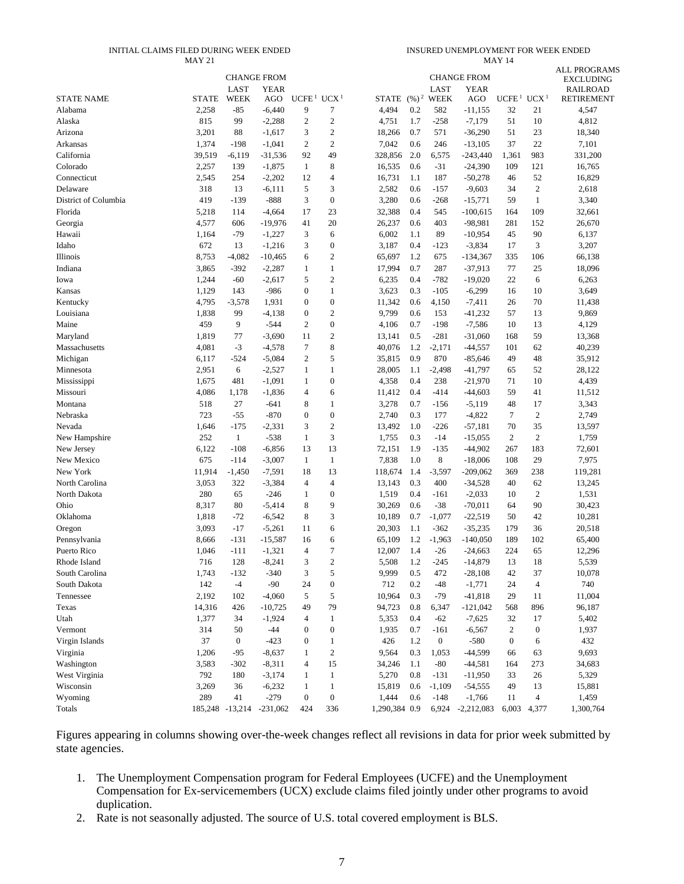#### INITIAL CLAIMS FILED DURING WEEK ENDED MAY 21

INSURED UNEMPLOYMENT FOR WEEK ENDED MAY 14

|                      |              |                            | <b>CHANGE FROM</b>       |                   |                  |               |           |                             | <b>CHANGE FROM</b> |                   |                  | <b>ALL PROGRAMS</b><br><b>EXCLUDING</b> |
|----------------------|--------------|----------------------------|--------------------------|-------------------|------------------|---------------|-----------|-----------------------------|--------------------|-------------------|------------------|-----------------------------------------|
| <b>STATE NAME</b>    | <b>STATE</b> | <b>LAST</b><br><b>WEEK</b> | <b>YEAR</b><br>AGO       | UCFE <sup>1</sup> | UCX <sup>1</sup> |               |           | LAST<br>STATE $(\%)^2$ WEEK | YEAR<br>AGO        | UCFE <sup>1</sup> | UCX <sup>1</sup> | <b>RAILROAD</b><br>RETIREMENT           |
| Alabama              | 2,258        | $-85$                      | $-6,440$                 | 9                 | 7                | 4,494         | 0.2       | 582                         | $-11,155$          | 32                | 21               | 4,547                                   |
| Alaska               | 815          | 99                         | $-2,288$                 | $\overline{c}$    | $\boldsymbol{2}$ | 4,751         | 1.7       | $-258$                      | $-7,179$           | 51                | 10               | 4,812                                   |
| Arizona              | 3,201        | 88                         | $-1,617$                 | 3                 | $\boldsymbol{2}$ | 18,266        | 0.7       | 571                         | $-36,290$          | 51                | 23               | 18,340                                  |
| Arkansas             | 1,374        | $-198$                     | $-1,041$                 | $\overline{c}$    | $\overline{c}$   | 7,042         | 0.6       | 246                         | $-13,105$          | 37                | 22               | 7,101                                   |
| California           | 39,519       | -6,119                     | $-31,536$                | 92                | 49               | 328,856       | 2.0       | 6,575                       | $-243,440$         | 1,361             | 983              | 331,200                                 |
| Colorado             | 2,257        | 139                        | $-1,875$                 | $\mathbf{1}$      | 8                | 16,535        | 0.6       | $-31$                       | $-24,390$          | 109               | 121              | 16,765                                  |
| Connecticut          | 2,545        | 254                        | $-2,202$                 | 12                | $\overline{4}$   | 16,731        | 1.1       | 187                         | $-50,278$          | 46                | 52               | 16,829                                  |
| Delaware             | 318          | 13                         | $-6,111$                 | 5                 | 3                | 2,582         | 0.6       | $-157$                      | $-9,603$           | 34                | $\boldsymbol{2}$ | 2,618                                   |
| District of Columbia | 419          | $-139$                     | $-888$                   | 3                 | $\boldsymbol{0}$ | 3,280         | 0.6       | $-268$                      | $-15,771$          | 59                | $\mathbf{1}$     | 3,340                                   |
| Florida              | 5,218        | 114                        | $-4,664$                 | 17                | 23               | 32,388        | 0.4       | 545                         | $-100,615$         | 164               | 109              | 32,661                                  |
| Georgia              | 4,577        | 606                        | $-19,976$                | 41                | 20               | 26,237        | 0.6       | 403                         | $-98,981$          | 281               | 152              | 26,670                                  |
| Hawaii               | 1,164        | $-79$                      | $-1,227$                 | 3                 | 6                | 6,002         | 1.1       | 89                          | $-10,954$          | 45                | 90               | 6,137                                   |
| Idaho                | 672          | 13                         | $-1,216$                 | 3                 | $\boldsymbol{0}$ | 3,187         | 0.4       | $-123$                      | $-3,834$           | 17                | 3                | 3,207                                   |
| Illinois             | 8,753        | $-4,082$                   | $-10,465$                | 6                 | $\boldsymbol{2}$ | 65,697        | 1.2       | 675                         | $-134,367$         | 335               | 106              | 66,138                                  |
| Indiana              | 3,865        | $-392$                     | $-2,287$                 | $\mathbf{1}$      | $\mathbf{1}$     | 17,994        | 0.7       | 287                         | $-37,913$          | 77                | 25               | 18,096                                  |
| Iowa                 | 1,244        | $-60$                      | $-2,617$                 | 5                 | $\boldsymbol{2}$ | 6,235         | 0.4       | $-782$                      | $-19,020$          | 22                | 6                | 6,263                                   |
| Kansas               | 1,129        | 143                        | $-986$                   | $\mathbf{0}$      | $\mathbf{1}$     | 3,623         | 0.3       | $-105$                      | $-6,299$           | 16                | 10               | 3,649                                   |
| Kentucky             | 4,795        | $-3,578$                   | 1,931                    | $\mathbf{0}$      | $\mathbf{0}$     | 11,342        | 0.6       | 4,150                       | $-7,411$           | 26                | 70               | 11,438                                  |
| Louisiana            | 1,838        | 99                         | $-4,138$                 | $\boldsymbol{0}$  | $\overline{c}$   | 9,799         | 0.6       | 153                         | $-41,232$          | 57                | 13               | 9,869                                   |
| Maine                | 459          | 9                          | $-544$                   | $\overline{c}$    | $\boldsymbol{0}$ | 4,106         | 0.7       | $-198$                      | $-7,586$           | 10                | 13               | 4,129                                   |
| Maryland             | 1,819        | 77                         | $-3,690$                 | 11                | $\boldsymbol{2}$ | 13,141        | 0.5       | $-281$                      | $-31,060$          | 168               | 59               | 13,368                                  |
| Massachusetts        | 4,081        | $-3$                       | $-4,578$                 | 7                 | 8                | 40,076        | 1.2       | $-2,171$                    | $-44,557$          | 101               | 62               | 40,239                                  |
| Michigan             | 6,117        | $-524$                     | $-5,084$                 | $\overline{c}$    | 5                | 35,815        | 0.9       | 870                         | $-85,646$          | 49                | 48               | 35,912                                  |
| Minnesota            | 2,951        | 6                          | $-2,527$                 | $\mathbf{1}$      | $\mathbf{1}$     | 28,005        | 1.1       | $-2,498$                    | $-41,797$          | 65                | 52               | 28,122                                  |
| Mississippi          | 1,675        | 481                        | $-1,091$                 | 1                 | $\boldsymbol{0}$ | 4,358         | 0.4       | 238                         | $-21,970$          | 71                | 10               | 4,439                                   |
| Missouri             | 4,086        | 1,178                      | $-1,836$                 | $\overline{4}$    | 6                | 11,412        | 0.4       | $-414$                      | $-44,603$          | 59                | 41               | 11,512                                  |
| Montana              | 518          | 27                         | $-641$                   | 8                 | $\mathbf{1}$     | 3,278         | 0.7       | $-156$                      | $-5,119$           | 48                | 17               | 3,343                                   |
| Nebraska             | 723          | $-55$                      | $-870$                   | $\boldsymbol{0}$  | $\boldsymbol{0}$ | 2,740         | 0.3       | 177                         | $-4,822$           | $\tau$            | $\boldsymbol{2}$ | 2,749                                   |
| Nevada               | 1,646        | $-175$                     | $-2,331$                 | 3                 | $\boldsymbol{2}$ | 13,492        | 1.0       | $-226$                      | $-57,181$          | 70                | 35               | 13,597                                  |
| New Hampshire        | 252          | 1                          | $-538$                   | $\mathbf{1}$      | 3                | 1,755         | 0.3       | $-14$                       | $-15,055$          | 2                 | $\mathbf{2}$     | 1,759                                   |
| New Jersey           | 6,122        | $-108$                     | $-6,856$                 | 13                | 13               | 72,151        | 1.9       | $-135$                      | $-44,902$          | 267               | 183              | 72,601                                  |
| New Mexico           | 675          | $-114$                     | $-3,007$                 | $\mathbf{1}$      | $\mathbf{1}$     | 7,838         | 1.0       | 8                           | $-18,006$          | 108               | 29               | 7,975                                   |
| New York             | 11,914       | $-1,450$                   | $-7,591$                 | 18                | 13               | 118,674       | 1.4       | $-3,597$                    | $-209,062$         | 369               | 238              | 119,281                                 |
| North Carolina       | 3,053        | 322                        | $-3,384$                 | 4                 | $\overline{4}$   | 13,143        | 0.3       | 400                         | $-34,528$          | 40                | 62               | 13,245                                  |
| North Dakota         | 280          | 65                         | $-246$                   | $\mathbf{1}$      | $\boldsymbol{0}$ | 1,519         | 0.4       | $-161$                      | $-2,033$           | 10                | $\boldsymbol{2}$ | 1,531                                   |
| Ohio                 | 8,317        | 80                         | $-5,414$                 | 8                 | 9                | 30,269        | 0.6       | $-38$                       | $-70,011$          | 64                | 90               | 30,423                                  |
| Oklahoma             | 1,818        | $-72$                      | $-6,542$                 | 8                 | 3                | 10,189        | 0.7       | $-1,077$                    | $-22,519$          | 50                | 42               | 10,281                                  |
| Oregon               | 3,093        | $-17$                      | $-5,261$                 | 11                | 6                | 20,303        | 1.1       | $-362$                      | $-35,235$          | 179               | 36               | 20,518                                  |
| Pennsylvania         | 8,666        | $-131$                     | $-15,587$                | 16                | 6                | 65,109        | 1.2       | $-1,963$                    | $-140,050$         | 189               | 102              | 65,400                                  |
| Puerto Rico          | 1,046        | $-111$                     | $-1,321$                 | $\overline{4}$    | 7                | 12,007        | 1.4       | $-26$                       | $-24,663$          | 224               | 65               | 12,296                                  |
| Rhode Island         | 716          | 128                        | $-8,241$                 | 3                 | $\mathfrak{D}$   | 5,508         | 1.2       | $-245$                      | $-14,879$          | 13                | 18               | 5,539                                   |
| South Carolina       | 1,743        | $-132$                     | $-340$                   | 3                 | 5                | 9,999         | 0.5       | 472                         | $-28,108$          | 42                | 37               | 10,078                                  |
| South Dakota         | 142          | $-4$                       | $-90$                    | 24                | $\boldsymbol{0}$ | 712           | 0.2       | $-48$                       | $-1,771$           | 24                | 4                | 740                                     |
| Tennessee            | 2,192        | 102                        | $-4,060$                 | 5                 | 5                | 10,964        | 0.3       | $-79$                       | $-41,818$          | 29                | 11               | 11,004                                  |
| Texas                | 14,316       | 426                        | $-10,725$                | 49                | 79               | 94,723        | $\rm 0.8$ | 6,347                       | $-121,042$         | 568               | 896              | 96,187                                  |
| Utah                 | 1,377        | 34                         | $-1,924$                 | 4                 | $\mathbf{1}$     | 5,353         | 0.4       | $-62$                       | $-7,625$           | 32                | 17               | 5,402                                   |
| Vermont              | 314          | 50                         | $-44$                    | $\boldsymbol{0}$  | $\boldsymbol{0}$ | 1,935         | 0.7       | $-161$                      | $-6,567$           | $\boldsymbol{2}$  | $\boldsymbol{0}$ | 1,937                                   |
| Virgin Islands       | 37           | $\boldsymbol{0}$           | $-423$                   | $\boldsymbol{0}$  | 1                | 426           | 1.2       | $\boldsymbol{0}$            | $-580$             | $\boldsymbol{0}$  | 6                | 432                                     |
| Virginia             | 1,206        | $-95$                      | $-8,637$                 | 1                 | $\boldsymbol{2}$ | 9,564         | 0.3       | 1,053                       | $-44,599$          | 66                | 63               | 9,693                                   |
| Washington           | 3,583        | $-302$                     | $-8,311$                 | 4                 | 15               | 34,246        | 1.1       | $-80$                       | $-44,581$          | 164               | 273              | 34,683                                  |
| West Virginia        | 792          | 180                        | $-3,174$                 | $\mathbf{1}$      | 1                | 5,270         | 0.8       | $-131$                      | $-11,950$          | 33                | 26               | 5,329                                   |
| Wisconsin            | 3,269        | 36                         | $-6,232$                 | 1                 | $\mathbf{1}$     | 15,819        | 0.6       | $-1,109$                    | $-54,555$          | 49                | 13               | 15,881                                  |
| Wyoming              | 289          | 41                         | $-279$                   | $\boldsymbol{0}$  | $\boldsymbol{0}$ | 1,444         | 0.6       | $-148$                      | $-1,766$           | 11                | $\overline{4}$   | 1,459                                   |
| Totals               |              |                            | 185,248 -13,214 -231,062 | 424               | 336              | 1,290,384 0.9 |           | 6,924                       | $-2,212,083$       | 6,003             | 4,377            | 1,300,764                               |
|                      |              |                            |                          |                   |                  |               |           |                             |                    |                   |                  |                                         |

Figures appearing in columns showing over-the-week changes reflect all revisions in data for prior week submitted by state agencies.

- 1. The Unemployment Compensation program for Federal Employees (UCFE) and the Unemployment Compensation for Ex-servicemembers (UCX) exclude claims filed jointly under other programs to avoid duplication.
- 2. Rate is not seasonally adjusted. The source of U.S. total covered employment is BLS.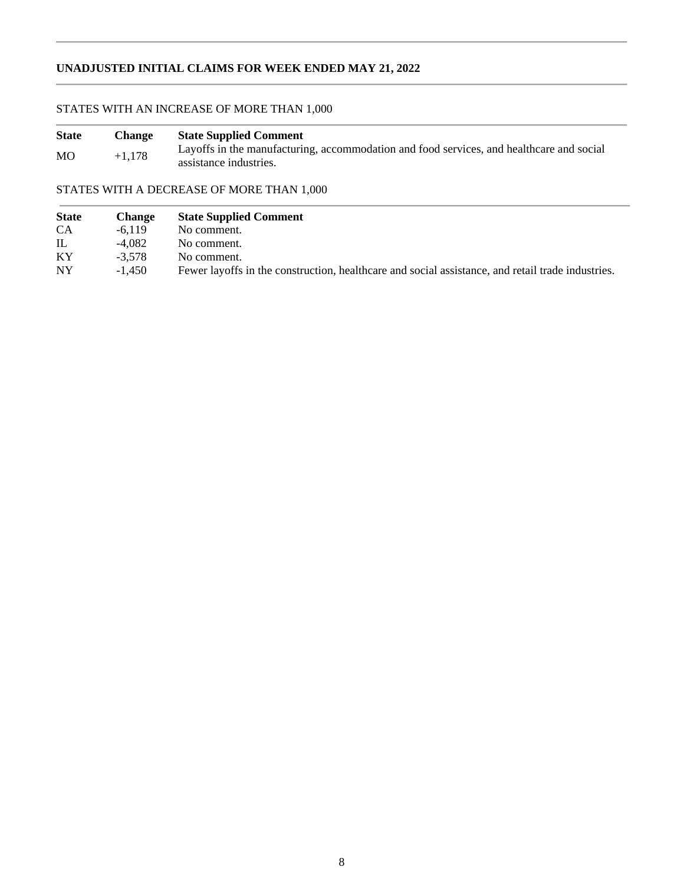# **UNADJUSTED INITIAL CLAIMS FOR WEEK ENDED MAY 21, 2022**

# STATES WITH AN INCREASE OF MORE THAN 1,000

| <b>State</b>   | Change   | <b>State Supplied Comment</b>                                                                                      |
|----------------|----------|--------------------------------------------------------------------------------------------------------------------|
| M <sub>O</sub> | $+1,178$ | Layoffs in the manufacturing, accommodation and food services, and healthcare and social<br>assistance industries. |

# STATES WITH A DECREASE OF MORE THAN 1,000

| <b>State</b> | <b>Change</b> | <b>State Supplied Comment</b>                                                                     |
|--------------|---------------|---------------------------------------------------------------------------------------------------|
| <b>CA</b>    | $-6.119$      | No comment.                                                                                       |
| IL           | $-4.082$      | No comment.                                                                                       |
| KY           | $-3.578$      | No comment.                                                                                       |
| <b>NY</b>    | $-1.450$      | Fewer layoffs in the construction, healthcare and social assistance, and retail trade industries. |